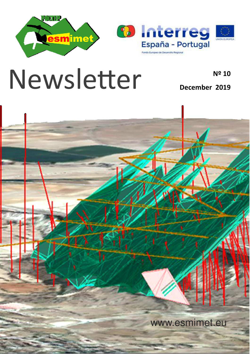

## Newsletter **News**

**December 2019**